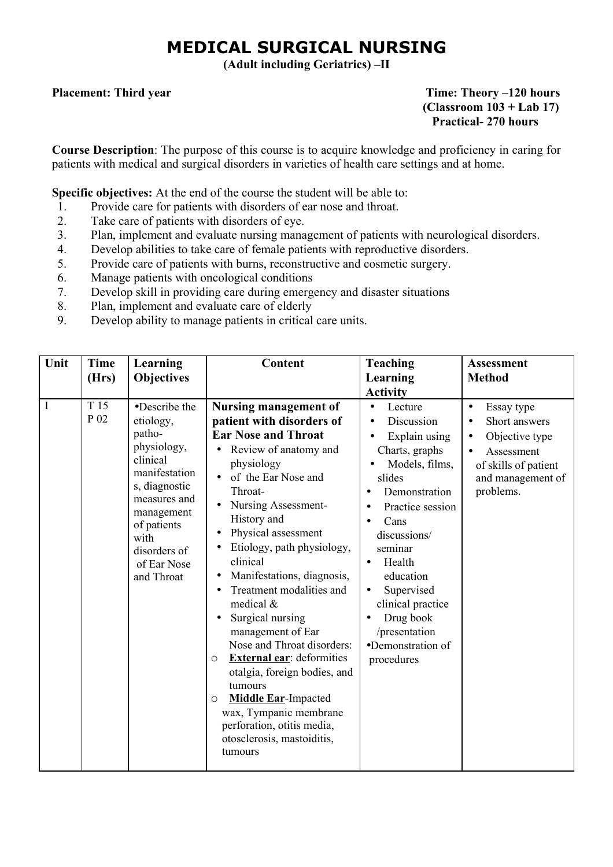# **MEDICAL SURGICAL NURSING**

**(Adult including Geriatrics) –II**

**Placement: Third year Time: Theory –120 hours (Classroom 103 + Lab 17) Practical- 270 hours**

**Course Description**: The purpose of this course is to acquire knowledge and proficiency in caring for patients with medical and surgical disorders in varieties of health care settings and at home.

**Specific objectives:** At the end of the course the student will be able to:

- 1. Provide care for patients with disorders of ear nose and throat.
- 2. Take care of patients with disorders of eye.
- 3. Plan, implement and evaluate nursing management of patients with neurological disorders.
- 4. Develop abilities to take care of female patients with reproductive disorders.
- 5. Provide care of patients with burns, reconstructive and cosmetic surgery.
- 6. Manage patients with oncological conditions
- 7. Develop skill in providing care during emergency and disaster situations
- 8. Plan, implement and evaluate care of elderly
- 9. Develop ability to manage patients in critical care units.

| Unit         | <b>Time</b><br>(Hrs) | Learning<br><b>Objectives</b>                                                                                                                                                                       | Content                                                                                                                                                                                                                                                                                                                                                                                                                                                                                                                                                                                                                                                                                                       | <b>Teaching</b><br>Learning<br><b>Activity</b>                                                                                                                                                                                                                                                                                                                                     | <b>Assessment</b><br><b>Method</b>                                                                                                                                        |
|--------------|----------------------|-----------------------------------------------------------------------------------------------------------------------------------------------------------------------------------------------------|---------------------------------------------------------------------------------------------------------------------------------------------------------------------------------------------------------------------------------------------------------------------------------------------------------------------------------------------------------------------------------------------------------------------------------------------------------------------------------------------------------------------------------------------------------------------------------------------------------------------------------------------------------------------------------------------------------------|------------------------------------------------------------------------------------------------------------------------------------------------------------------------------------------------------------------------------------------------------------------------------------------------------------------------------------------------------------------------------------|---------------------------------------------------------------------------------------------------------------------------------------------------------------------------|
| $\mathbf{I}$ | T 15<br>P 02         | •Describe the<br>etiology,<br>patho-<br>physiology,<br>clinical<br>manifestation<br>s, diagnostic<br>measures and<br>management<br>of patients<br>with<br>disorders of<br>of Ear Nose<br>and Throat | <b>Nursing management of</b><br>patient with disorders of<br><b>Ear Nose and Throat</b><br>Review of anatomy and<br>physiology<br>of the Ear Nose and<br>$\bullet$<br>Throat-<br>Nursing Assessment-<br>$\bullet$<br>History and<br>Physical assessment<br>$\bullet$<br>Etiology, path physiology,<br>clinical<br>Manifestations, diagnosis,<br>$\bullet$<br>Treatment modalities and<br>medical &<br>Surgical nursing<br>management of Ear<br>Nose and Throat disorders:<br><b>External ear:</b> deformities<br>$\circ$<br>otalgia, foreign bodies, and<br>tumours<br><b>Middle Ear-Impacted</b><br>$\circ$<br>wax, Tympanic membrane<br>perforation, otitis media,<br>otosclerosis, mastoiditis,<br>tumours | Lecture<br>$\bullet$<br>Discussion<br>$\bullet$<br>Explain using<br>Charts, graphs<br>Models, films,<br>slides<br>Demonstration<br>$\bullet$<br>Practice session<br>$\bullet$<br>Cans<br>$\bullet$<br>discussions/<br>seminar<br>Health<br>$\bullet$<br>education<br>Supervised<br>$\bullet$<br>clinical practice<br>Drug book<br>/presentation<br>•Demonstration of<br>procedures | Essay type<br>$\bullet$<br>Short answers<br>$\bullet$<br>Objective type<br>$\bullet$<br>Assessment<br>$\bullet$<br>of skills of patient<br>and management of<br>problems. |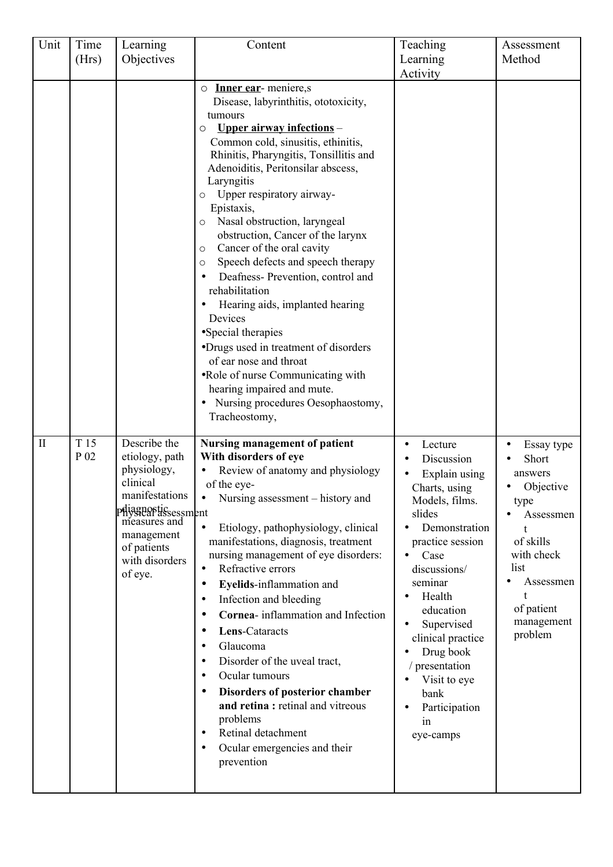| Unit         | Time         | Learning                                                                                                                                                                                    | Content                                                                                                                                                                                                                                                                                                                                                                                                                                                                                                                                                                                                                                                                                                                                                                                                            | Teaching                                                                                                                                                                                                                                                                                                                                                | Assessment                                                                                                                                              |
|--------------|--------------|---------------------------------------------------------------------------------------------------------------------------------------------------------------------------------------------|--------------------------------------------------------------------------------------------------------------------------------------------------------------------------------------------------------------------------------------------------------------------------------------------------------------------------------------------------------------------------------------------------------------------------------------------------------------------------------------------------------------------------------------------------------------------------------------------------------------------------------------------------------------------------------------------------------------------------------------------------------------------------------------------------------------------|---------------------------------------------------------------------------------------------------------------------------------------------------------------------------------------------------------------------------------------------------------------------------------------------------------------------------------------------------------|---------------------------------------------------------------------------------------------------------------------------------------------------------|
|              | (Hrs)        | Objectives                                                                                                                                                                                  |                                                                                                                                                                                                                                                                                                                                                                                                                                                                                                                                                                                                                                                                                                                                                                                                                    | Learning                                                                                                                                                                                                                                                                                                                                                | Method                                                                                                                                                  |
|              |              |                                                                                                                                                                                             |                                                                                                                                                                                                                                                                                                                                                                                                                                                                                                                                                                                                                                                                                                                                                                                                                    | Activity                                                                                                                                                                                                                                                                                                                                                |                                                                                                                                                         |
|              |              |                                                                                                                                                                                             | $\circ$ <b>Inner ear-</b> meniere,s<br>Disease, labyrinthitis, ototoxicity,<br>tumours<br><u>Upper airway infections</u> –<br>O<br>Common cold, sinusitis, ethinitis,<br>Rhinitis, Pharyngitis, Tonsillitis and<br>Adenoiditis, Peritonsilar abscess,<br>Laryngitis<br>Upper respiratory airway-<br>$\circ$<br>Epistaxis,<br>Nasal obstruction, laryngeal<br>$\circ$<br>obstruction, Cancer of the larynx<br>Cancer of the oral cavity<br>$\circ$<br>Speech defects and speech therapy<br>O<br>Deafness- Prevention, control and<br>rehabilitation<br>Hearing aids, implanted hearing<br>Devices<br>•Special therapies<br>•Drugs used in treatment of disorders<br>of ear nose and throat<br>•Role of nurse Communicating with<br>hearing impaired and mute.<br>Nursing procedures Oesophaostomy,<br>Tracheostomy, |                                                                                                                                                                                                                                                                                                                                                         |                                                                                                                                                         |
| $\mathbf{I}$ | T 15<br>P 02 | Describe the<br>etiology, path<br>physiology,<br>clinical<br>manifestations<br>pdiagnostic<br>physical assessment<br>measures and<br>management<br>of patients<br>with disorders<br>of eye. | <b>Nursing management of patient</b><br>With disorders of eye<br>Review of anatomy and physiology<br>of the eye-<br>Nursing assessment – history and<br>Etiology, pathophysiology, clinical<br>$\bullet$<br>manifestations, diagnosis, treatment<br>nursing management of eye disorders:<br>Refractive errors<br>$\bullet$<br>Eyelids-inflammation and<br>$\bullet$<br>Infection and bleeding<br>٠<br>Cornea- inflammation and Infection<br>$\bullet$<br><b>Lens-Cataracts</b><br>Glaucoma<br>$\bullet$<br>Disorder of the uveal tract,<br>$\bullet$<br>Ocular tumours<br>$\bullet$<br>Disorders of posterior chamber<br>$\bullet$<br>and retina : retinal and vitreous<br>problems<br>Retinal detachment<br>$\bullet$<br>Ocular emergencies and their<br>$\bullet$<br>prevention                                  | Lecture<br>Discussion<br>Explain using<br>Charts, using<br>Models, films.<br>slides<br>Demonstration<br>practice session<br>Case<br>$\bullet$<br>discussions/<br>seminar<br>Health<br>education<br>Supervised<br>clinical practice<br>Drug book<br>$\bullet$<br>/ presentation<br>Visit to eye<br>bank<br>Participation<br>$\bullet$<br>in<br>eye-camps | Essay type<br>Short<br>answers<br>Objective<br>type<br>Assessmen<br>of skills<br>with check<br>list<br>Assessmen<br>of patient<br>management<br>problem |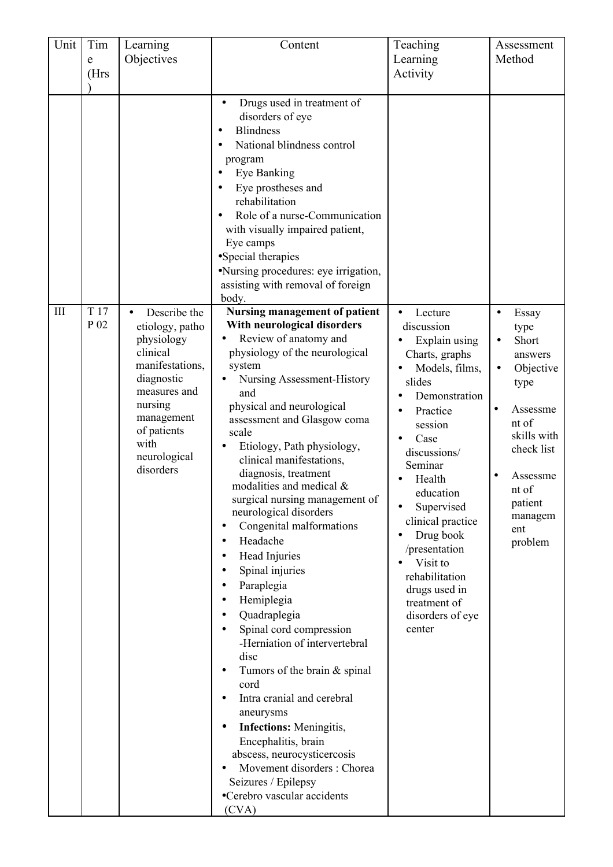| Unit | Tim          | Learning                                                                                                                                                                                             | Content                                                                                                                                                                                                                                                                                                                                                                                                                                                                                                                                                                                                                                                                                                                                                                                                                                                                                                                                                                                                                                                                                                                                                                                                                                           | Teaching                                                                                                                                                                                                                                                                                                                                                          | Assessment                                                                                                                                                                                                   |
|------|--------------|------------------------------------------------------------------------------------------------------------------------------------------------------------------------------------------------------|---------------------------------------------------------------------------------------------------------------------------------------------------------------------------------------------------------------------------------------------------------------------------------------------------------------------------------------------------------------------------------------------------------------------------------------------------------------------------------------------------------------------------------------------------------------------------------------------------------------------------------------------------------------------------------------------------------------------------------------------------------------------------------------------------------------------------------------------------------------------------------------------------------------------------------------------------------------------------------------------------------------------------------------------------------------------------------------------------------------------------------------------------------------------------------------------------------------------------------------------------|-------------------------------------------------------------------------------------------------------------------------------------------------------------------------------------------------------------------------------------------------------------------------------------------------------------------------------------------------------------------|--------------------------------------------------------------------------------------------------------------------------------------------------------------------------------------------------------------|
|      | e            | Objectives                                                                                                                                                                                           |                                                                                                                                                                                                                                                                                                                                                                                                                                                                                                                                                                                                                                                                                                                                                                                                                                                                                                                                                                                                                                                                                                                                                                                                                                                   | Learning                                                                                                                                                                                                                                                                                                                                                          | Method                                                                                                                                                                                                       |
|      | (Hrs)        |                                                                                                                                                                                                      |                                                                                                                                                                                                                                                                                                                                                                                                                                                                                                                                                                                                                                                                                                                                                                                                                                                                                                                                                                                                                                                                                                                                                                                                                                                   | Activity                                                                                                                                                                                                                                                                                                                                                          |                                                                                                                                                                                                              |
|      |              |                                                                                                                                                                                                      |                                                                                                                                                                                                                                                                                                                                                                                                                                                                                                                                                                                                                                                                                                                                                                                                                                                                                                                                                                                                                                                                                                                                                                                                                                                   |                                                                                                                                                                                                                                                                                                                                                                   |                                                                                                                                                                                                              |
| III  | T 17<br>P 02 | Describe the<br>$\bullet$<br>etiology, patho<br>physiology<br>clinical<br>manifestations,<br>diagnostic<br>measures and<br>nursing<br>management<br>of patients<br>with<br>neurological<br>disorders | Drugs used in treatment of<br>$\bullet$<br>disorders of eye<br><b>Blindness</b><br>$\bullet$<br>National blindness control<br>program<br>Eye Banking<br>Eye prostheses and<br>rehabilitation<br>Role of a nurse-Communication<br>with visually impaired patient,<br>Eye camps<br>•Special therapies<br>•Nursing procedures: eye irrigation,<br>assisting with removal of foreign<br>body.<br><b>Nursing management of patient</b><br>With neurological disorders<br>Review of anatomy and<br>physiology of the neurological<br>system<br>Nursing Assessment-History<br>and<br>physical and neurological<br>assessment and Glasgow coma<br>scale<br>Etiology, Path physiology,<br>clinical manifestations,<br>diagnosis, treatment<br>modalities and medical $\&$<br>surgical nursing management of<br>neurological disorders<br>Congenital malformations<br>Headache<br>٠<br>Head Injuries<br>Spinal injuries<br>Paraplegia<br>$\bullet$<br>Hemiplegia<br>$\bullet$<br>Quadraplegia<br>$\bullet$<br>Spinal cord compression<br>-Herniation of intervertebral<br>disc<br>Tumors of the brain $&$ spinal<br>$\bullet$<br>cord<br>Intra cranial and cerebral<br>$\bullet$<br>aneurysms<br><b>Infections:</b> Meningitis,<br>٠<br>Encephalitis, brain | Lecture<br>$\bullet$<br>discussion<br>Explain using<br>Charts, graphs<br>Models, films,<br>slides<br>Demonstration<br>Practice<br>session<br>Case<br>discussions/<br>Seminar<br>Health<br>education<br>Supervised<br>clinical practice<br>Drug book<br>/presentation<br>Visit to<br>rehabilitation<br>drugs used in<br>treatment of<br>disorders of eye<br>center | Essay<br>$\bullet$<br>type<br>Short<br>answers<br>Objective<br>$\bullet$<br>type<br>Assessme<br>$\bullet$<br>nt of<br>skills with<br>check list<br>Assessme<br>nt of<br>patient<br>managem<br>ent<br>problem |
|      |              |                                                                                                                                                                                                      | abscess, neurocysticercosis<br>Movement disorders : Chorea                                                                                                                                                                                                                                                                                                                                                                                                                                                                                                                                                                                                                                                                                                                                                                                                                                                                                                                                                                                                                                                                                                                                                                                        |                                                                                                                                                                                                                                                                                                                                                                   |                                                                                                                                                                                                              |
|      |              |                                                                                                                                                                                                      | Seizures / Epilepsy                                                                                                                                                                                                                                                                                                                                                                                                                                                                                                                                                                                                                                                                                                                                                                                                                                                                                                                                                                                                                                                                                                                                                                                                                               |                                                                                                                                                                                                                                                                                                                                                                   |                                                                                                                                                                                                              |
|      |              |                                                                                                                                                                                                      | •Cerebro vascular accidents                                                                                                                                                                                                                                                                                                                                                                                                                                                                                                                                                                                                                                                                                                                                                                                                                                                                                                                                                                                                                                                                                                                                                                                                                       |                                                                                                                                                                                                                                                                                                                                                                   |                                                                                                                                                                                                              |
|      |              |                                                                                                                                                                                                      | (CVA)                                                                                                                                                                                                                                                                                                                                                                                                                                                                                                                                                                                                                                                                                                                                                                                                                                                                                                                                                                                                                                                                                                                                                                                                                                             |                                                                                                                                                                                                                                                                                                                                                                   |                                                                                                                                                                                                              |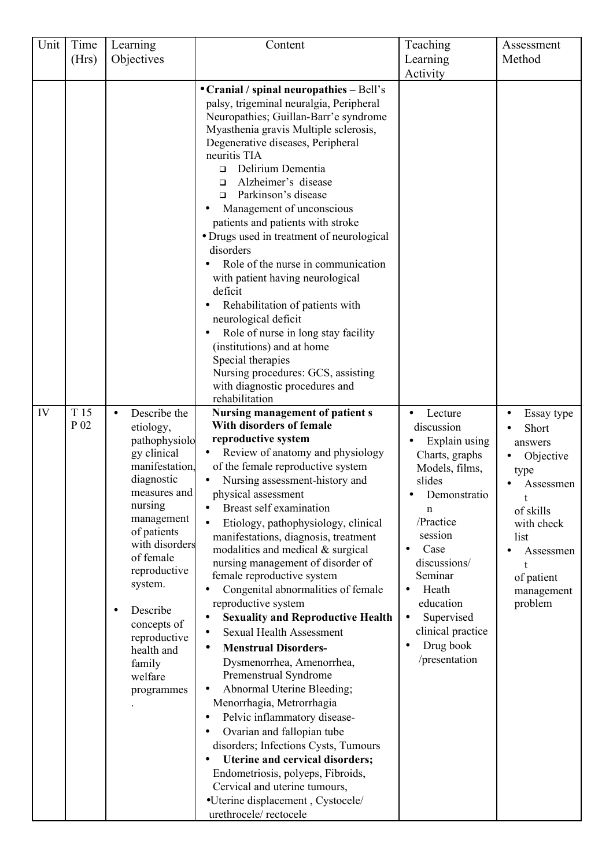| Unit | Time  | Learning                   | Content                                                                | Teaching                | Assessment               |
|------|-------|----------------------------|------------------------------------------------------------------------|-------------------------|--------------------------|
|      | (Hrs) | Objectives                 |                                                                        | Learning                | Method                   |
|      |       |                            |                                                                        | Activity                |                          |
|      |       |                            | • Cranial / spinal neuropathies - Bell's                               |                         |                          |
|      |       |                            | palsy, trigeminal neuralgia, Peripheral                                |                         |                          |
|      |       |                            | Neuropathies; Guillan-Barr'e syndrome                                  |                         |                          |
|      |       |                            | Myasthenia gravis Multiple sclerosis,                                  |                         |                          |
|      |       |                            | Degenerative diseases, Peripheral                                      |                         |                          |
|      |       |                            | neuritis TIA                                                           |                         |                          |
|      |       |                            | Delirium Dementia<br>$\Box$                                            |                         |                          |
|      |       |                            | Alzheimer's disease<br>□                                               |                         |                          |
|      |       |                            | Parkinson's disease<br>$\Box$                                          |                         |                          |
|      |       |                            | Management of unconscious                                              |                         |                          |
|      |       |                            | patients and patients with stroke                                      |                         |                          |
|      |       |                            | • Drugs used in treatment of neurological                              |                         |                          |
|      |       |                            | disorders                                                              |                         |                          |
|      |       |                            | Role of the nurse in communication                                     |                         |                          |
|      |       |                            | with patient having neurological<br>deficit                            |                         |                          |
|      |       |                            | Rehabilitation of patients with                                        |                         |                          |
|      |       |                            | neurological deficit                                                   |                         |                          |
|      |       |                            | Role of nurse in long stay facility                                    |                         |                          |
|      |       |                            | (institutions) and at home                                             |                         |                          |
|      |       |                            | Special therapies                                                      |                         |                          |
|      |       |                            | Nursing procedures: GCS, assisting                                     |                         |                          |
|      |       |                            | with diagnostic procedures and                                         |                         |                          |
|      |       |                            | rehabilitation                                                         |                         |                          |
| IV   | T 15  | Describe the<br>$\bullet$  | <b>Nursing management of patient s</b>                                 | Lecture<br>$\bullet$    | Essay type               |
|      | P 02  | etiology,                  | With disorders of female                                               | discussion              | Short                    |
|      |       | pathophysiolo              | reproductive system                                                    | Explain using           | answers                  |
|      |       | gy clinical                | Review of anatomy and physiology                                       | Charts, graphs          | Objective                |
|      |       | manifestation.             | of the female reproductive system                                      | Models, films,          | type                     |
|      |       | diagnostic<br>measures and | Nursing assessment-history and                                         | slides                  | Assessmen                |
|      |       | nursing                    | physical assessment                                                    | Demonstratio            | t                        |
|      |       | management                 | Breast self examination                                                | n                       | of skills                |
|      |       | of patients                | Etiology, pathophysiology, clinical                                    | /Practice<br>session    | with check               |
|      |       | with disorders             | manifestations, diagnosis, treatment                                   | Case<br>$\bullet$       | list                     |
|      |       | of female                  | modalities and medical & surgical<br>nursing management of disorder of | discussions/            | Assessmen                |
|      |       | reproductive               | female reproductive system                                             | Seminar                 |                          |
|      |       | system.                    | Congenital abnormalities of female                                     | Heath<br>$\bullet$      | of patient<br>management |
|      |       |                            | reproductive system                                                    | education               | problem                  |
|      |       | Describe<br>$\bullet$      | <b>Sexuality and Reproductive Health</b>                               | Supervised<br>$\bullet$ |                          |
|      |       | concepts of                | <b>Sexual Health Assessment</b>                                        | clinical practice       |                          |
|      |       | reproductive               | <b>Menstrual Disorders-</b>                                            | Drug book               |                          |
|      |       | health and                 | Dysmenorrhea, Amenorrhea,                                              | /presentation           |                          |
|      |       | family<br>welfare          | Premenstrual Syndrome                                                  |                         |                          |
|      |       | programmes                 | Abnormal Uterine Bleeding;                                             |                         |                          |
|      |       |                            | Menorrhagia, Metrorrhagia                                              |                         |                          |
|      |       |                            | Pelvic inflammatory disease-                                           |                         |                          |
|      |       |                            | Ovarian and fallopian tube                                             |                         |                          |
|      |       |                            | disorders; Infections Cysts, Tumours                                   |                         |                          |
|      |       |                            | Uterine and cervical disorders;                                        |                         |                          |
|      |       |                            | Endometriosis, polyeps, Fibroids,                                      |                         |                          |
|      |       |                            | Cervical and uterine tumours,                                          |                         |                          |
|      |       |                            | •Uterine displacement, Cystocele/                                      |                         |                          |
|      |       |                            | urethrocele/rectocele                                                  |                         |                          |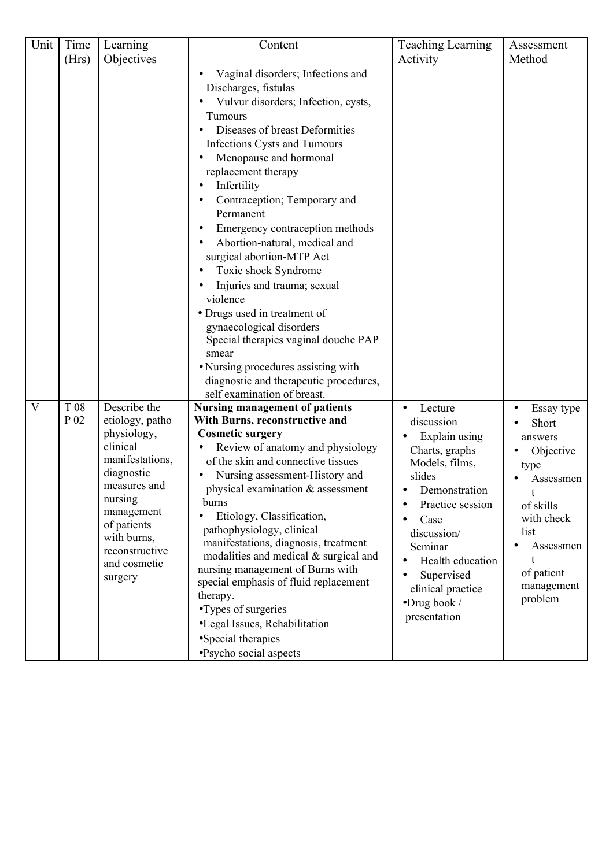| Unit | Time         | Learning                                                                                                                                                                                                        | Content                                                                                                                                                                                                                                                                                                                                                                                                                                                                                                                                                                                                                                                                                            | <b>Teaching Learning</b>                                                                                                                                                                                                                           | Assessment                                                                                                                                                   |
|------|--------------|-----------------------------------------------------------------------------------------------------------------------------------------------------------------------------------------------------------------|----------------------------------------------------------------------------------------------------------------------------------------------------------------------------------------------------------------------------------------------------------------------------------------------------------------------------------------------------------------------------------------------------------------------------------------------------------------------------------------------------------------------------------------------------------------------------------------------------------------------------------------------------------------------------------------------------|----------------------------------------------------------------------------------------------------------------------------------------------------------------------------------------------------------------------------------------------------|--------------------------------------------------------------------------------------------------------------------------------------------------------------|
|      | (Hrs)        | Objectives                                                                                                                                                                                                      |                                                                                                                                                                                                                                                                                                                                                                                                                                                                                                                                                                                                                                                                                                    | Activity                                                                                                                                                                                                                                           | Method                                                                                                                                                       |
|      |              |                                                                                                                                                                                                                 | Vaginal disorders; Infections and<br>Discharges, fistulas<br>Vulvur disorders; Infection, cysts,<br>Tumours<br>Diseases of breast Deformities<br><b>Infections Cysts and Tumours</b><br>Menopause and hormonal<br>replacement therapy<br>Infertility<br>Contraception; Temporary and<br>Permanent<br>Emergency contraception methods<br>Abortion-natural, medical and<br>surgical abortion-MTP Act<br>Toxic shock Syndrome<br>Injuries and trauma; sexual<br>violence<br>• Drugs used in treatment of<br>gynaecological disorders<br>Special therapies vaginal douche PAP<br>smear<br>• Nursing procedures assisting with<br>diagnostic and therapeutic procedures,<br>self examination of breast. |                                                                                                                                                                                                                                                    |                                                                                                                                                              |
| V    | T 08<br>P 02 | Describe the<br>etiology, patho<br>physiology,<br>clinical<br>manifestations,<br>diagnostic<br>measures and<br>nursing<br>management<br>of patients<br>with burns,<br>reconstructive<br>and cosmetic<br>surgery | <b>Nursing management of patients</b><br>With Burns, reconstructive and<br><b>Cosmetic surgery</b><br>Review of anatomy and physiology<br>of the skin and connective tissues<br>Nursing assessment-History and<br>physical examination & assessment<br>burns<br>Etiology, Classification,<br>pathophysiology, clinical<br>manifestations, diagnosis, treatment<br>modalities and medical & surgical and<br>nursing management of Burns with<br>special emphasis of fluid replacement<br>therapy.<br>• Types of surgeries<br>·Legal Issues, Rehabilitation<br>•Special therapies<br>•Psycho social aspects                                                                                          | Lecture<br>discussion<br>Explain using<br>Charts, graphs<br>Models, films,<br>slides<br>Demonstration<br>Practice session<br>Case<br>discussion/<br>Seminar<br>Health education<br>Supervised<br>clinical practice<br>•Drug book /<br>presentation | Essay type<br>Short<br>answers<br>Objective<br>type<br>Assessmen<br>t<br>of skills<br>with check<br>list<br>Assessmen<br>of patient<br>management<br>problem |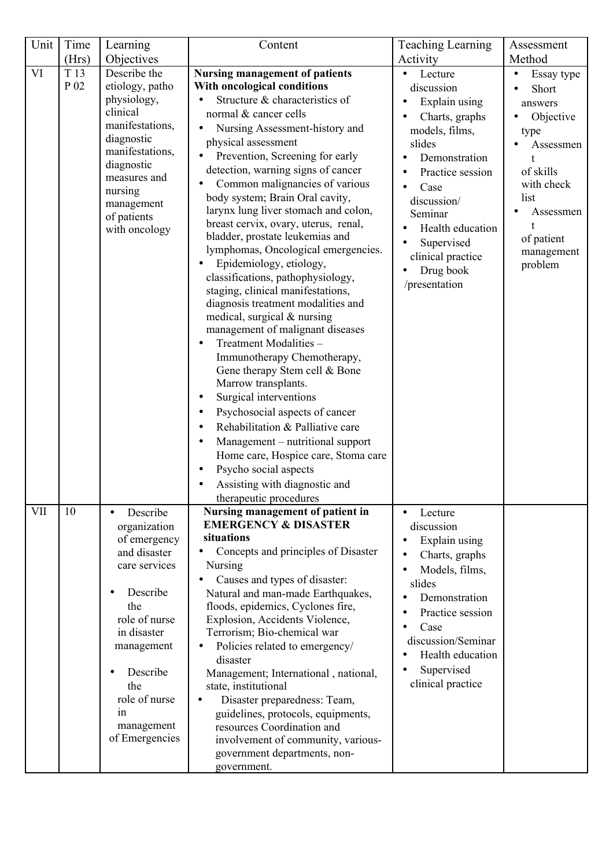| Unit | Time  | Learning                     | Content                                                        | <b>Teaching Learning</b>             | Assessment     |
|------|-------|------------------------------|----------------------------------------------------------------|--------------------------------------|----------------|
|      | (Hrs) | Objectives                   |                                                                | Activity                             | Method         |
| VI   | T 13  | Describe the                 | <b>Nursing management of patients</b>                          | Lecture                              | Essay type     |
|      | P 02  | etiology, patho              | With oncological conditions                                    | discussion                           | Short          |
|      |       | physiology,<br>clinical      | Structure & characteristics of                                 | Explain using<br>$\bullet$           | answers        |
|      |       | manifestations,              | normal & cancer cells                                          | Charts, graphs                       | Objective      |
|      |       | diagnostic                   | Nursing Assessment-history and<br>physical assessment          | models, films,                       | type           |
|      |       | manifestations,              | Prevention, Screening for early                                | slides<br>Demonstration<br>$\bullet$ | Assessmen      |
|      |       | diagnostic                   | detection, warning signs of cancer                             | Practice session                     | t<br>of skills |
|      |       | measures and                 | Common malignancies of various                                 | Case<br>$\bullet$                    | with check     |
|      |       | nursing                      | body system; Brain Oral cavity,                                | discussion/                          | list           |
|      |       | management<br>of patients    | larynx lung liver stomach and colon,                           | Seminar                              | Assessmen      |
|      |       | with oncology                | breast cervix, ovary, uterus, renal,                           | Health education                     | t              |
|      |       |                              | bladder, prostate leukemias and                                | Supervised<br>$\bullet$              | of patient     |
|      |       |                              | lymphomas, Oncological emergencies.<br>Epidemiology, etiology, | clinical practice                    | management     |
|      |       |                              | classifications, pathophysiology,                              | Drug book                            | problem        |
|      |       |                              | staging, clinical manifestations,                              | /presentation                        |                |
|      |       |                              | diagnosis treatment modalities and                             |                                      |                |
|      |       |                              | medical, surgical & nursing                                    |                                      |                |
|      |       |                              | management of malignant diseases                               |                                      |                |
|      |       |                              | Treatment Modalities -                                         |                                      |                |
|      |       |                              | Immunotherapy Chemotherapy,                                    |                                      |                |
|      |       |                              | Gene therapy Stem cell & Bone<br>Marrow transplants.           |                                      |                |
|      |       |                              | Surgical interventions<br>$\bullet$                            |                                      |                |
|      |       |                              | Psychosocial aspects of cancer<br>$\bullet$                    |                                      |                |
|      |       |                              | Rehabilitation & Palliative care                               |                                      |                |
|      |       |                              | Management – nutritional support<br>$\bullet$                  |                                      |                |
|      |       |                              | Home care, Hospice care, Stoma care                            |                                      |                |
|      |       |                              | Psycho social aspects                                          |                                      |                |
|      |       |                              | Assisting with diagnostic and                                  |                                      |                |
|      |       |                              | therapeutic procedures                                         |                                      |                |
| VII  | 10    | Describe                     | Nursing management of patient in                               | Lecture                              |                |
|      |       | organization                 | <b>EMERGENCY &amp; DISASTER</b><br>situations                  | discussion                           |                |
|      |       | of emergency<br>and disaster | Concepts and principles of Disaster                            | Explain using<br>$\bullet$           |                |
|      |       | care services                | <b>Nursing</b>                                                 | Charts, graphs<br>Models, films,     |                |
|      |       |                              | Causes and types of disaster:                                  | slides                               |                |
|      |       | Describe<br>٠                | Natural and man-made Earthquakes,                              | Demonstration                        |                |
|      |       | the                          | floods, epidemics, Cyclones fire,                              | Practice session                     |                |
|      |       | role of nurse                | Explosion, Accidents Violence,                                 | Case<br>$\bullet$                    |                |
|      |       | in disaster                  | Terrorism; Bio-chemical war                                    | discussion/Seminar                   |                |
|      |       | management                   | Policies related to emergency/<br>disaster                     | Health education                     |                |
|      |       | Describe                     | Management; International, national,                           | Supervised                           |                |
|      |       | the                          | state, institutional                                           | clinical practice                    |                |
|      |       | role of nurse                | Disaster preparedness: Team,<br>$\bullet$                      |                                      |                |
|      |       | in                           | guidelines, protocols, equipments,                             |                                      |                |
|      |       | management                   | resources Coordination and                                     |                                      |                |
|      |       | of Emergencies               | involvement of community, various-                             |                                      |                |
|      |       |                              | government departments, non-<br>government.                    |                                      |                |
|      |       |                              |                                                                |                                      |                |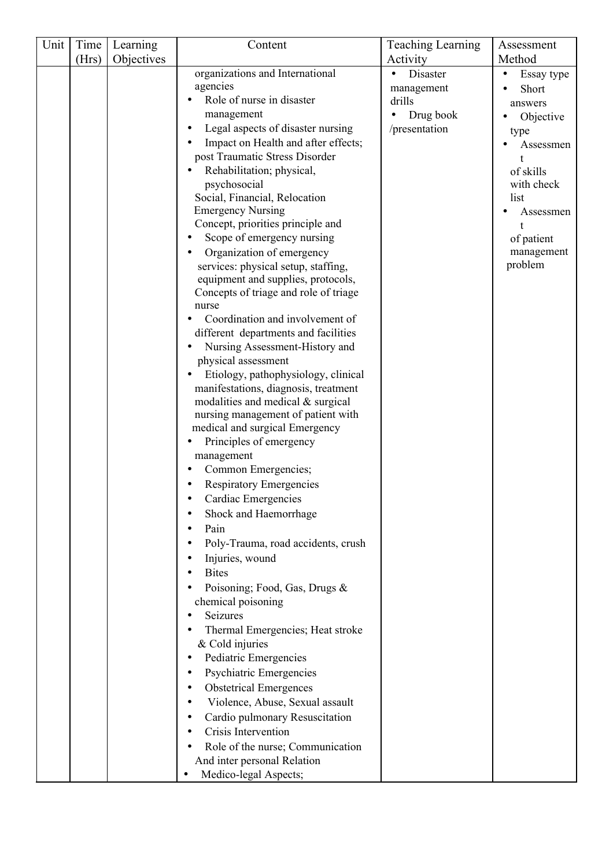| Unit | Time  | Learning   | Content                                                                     | <b>Teaching Learning</b> | Assessment |
|------|-------|------------|-----------------------------------------------------------------------------|--------------------------|------------|
|      | (Hrs) | Objectives |                                                                             | Activity                 | Method     |
|      |       |            | organizations and International                                             | Disaster                 | Essay type |
|      |       |            | agencies                                                                    | management               | Short      |
|      |       |            | Role of nurse in disaster                                                   | drills                   | answers    |
|      |       |            | management<br>Legal aspects of disaster nursing                             | Drug book                | Objective  |
|      |       |            | Impact on Health and after effects;                                         | /presentation            | type       |
|      |       |            | post Traumatic Stress Disorder                                              |                          | Assessmen  |
|      |       |            | Rehabilitation; physical,                                                   |                          | of skills  |
|      |       |            | psychosocial                                                                |                          | with check |
|      |       |            | Social, Financial, Relocation                                               |                          | list       |
|      |       |            | <b>Emergency Nursing</b>                                                    |                          | Assessmen  |
|      |       |            | Concept, priorities principle and                                           |                          |            |
|      |       |            | Scope of emergency nursing                                                  |                          | of patient |
|      |       |            | Organization of emergency                                                   |                          | management |
|      |       |            | services: physical setup, staffing,                                         |                          | problem    |
|      |       |            | equipment and supplies, protocols,<br>Concepts of triage and role of triage |                          |            |
|      |       |            | nurse                                                                       |                          |            |
|      |       |            | Coordination and involvement of                                             |                          |            |
|      |       |            | different departments and facilities                                        |                          |            |
|      |       |            | Nursing Assessment-History and                                              |                          |            |
|      |       |            | physical assessment                                                         |                          |            |
|      |       |            | Etiology, pathophysiology, clinical                                         |                          |            |
|      |       |            | manifestations, diagnosis, treatment                                        |                          |            |
|      |       |            | modalities and medical & surgical                                           |                          |            |
|      |       |            | nursing management of patient with<br>medical and surgical Emergency        |                          |            |
|      |       |            | Principles of emergency                                                     |                          |            |
|      |       |            | management                                                                  |                          |            |
|      |       |            | Common Emergencies;                                                         |                          |            |
|      |       |            | <b>Respiratory Emergencies</b>                                              |                          |            |
|      |       |            | <b>Cardiac Emergencies</b>                                                  |                          |            |
|      |       |            | Shock and Haemorrhage                                                       |                          |            |
|      |       |            | Pain<br>$\bullet$                                                           |                          |            |
|      |       |            | Poly-Trauma, road accidents, crush                                          |                          |            |
|      |       |            | Injuries, wound                                                             |                          |            |
|      |       |            | <b>Bites</b>                                                                |                          |            |
|      |       |            | Poisoning; Food, Gas, Drugs &                                               |                          |            |
|      |       |            | chemical poisoning                                                          |                          |            |
|      |       |            | Seizures                                                                    |                          |            |
|      |       |            | Thermal Emergencies; Heat stroke                                            |                          |            |
|      |       |            | & Cold injuries                                                             |                          |            |
|      |       |            | Pediatric Emergencies<br>٠                                                  |                          |            |
|      |       |            | <b>Psychiatric Emergencies</b><br>$\bullet$                                 |                          |            |
|      |       |            | <b>Obstetrical Emergences</b><br>$\bullet$                                  |                          |            |
|      |       |            | Violence, Abuse, Sexual assault<br>$\bullet$                                |                          |            |
|      |       |            | Cardio pulmonary Resuscitation                                              |                          |            |
|      |       |            | Crisis Intervention<br>$\bullet$                                            |                          |            |
|      |       |            | Role of the nurse; Communication                                            |                          |            |
|      |       |            | And inter personal Relation<br>Medico-legal Aspects;                        |                          |            |
|      |       |            |                                                                             |                          |            |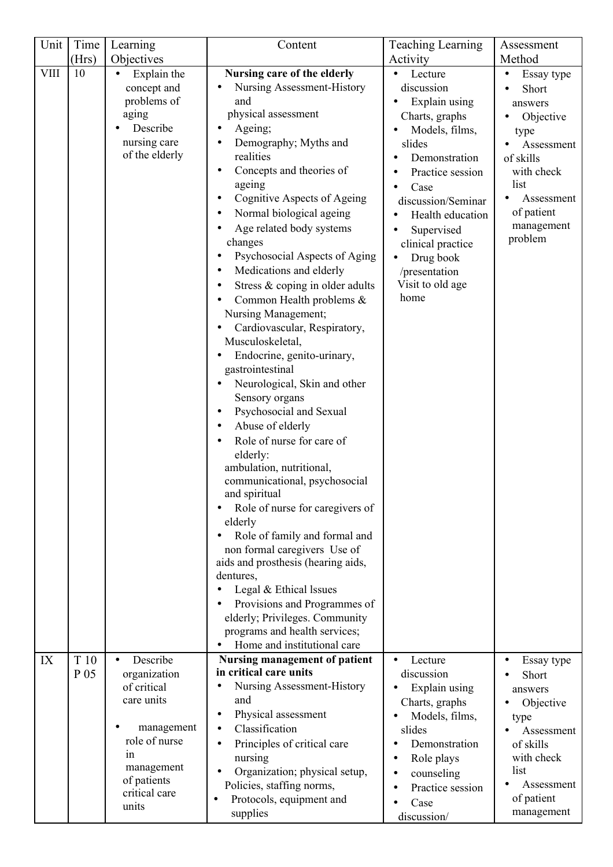| (Hrs)<br><b>VIII</b><br>10 | Objectives<br>Explain the                                                                                                                             |                                                                                                                                                                                                                                                                                                                                                                                                                                                                                                                                                                                                                                                                                                                                                                                                        | Activity                                                                                                                                                                                                                                                                              | Method                                                                                                                                                                 |
|----------------------------|-------------------------------------------------------------------------------------------------------------------------------------------------------|--------------------------------------------------------------------------------------------------------------------------------------------------------------------------------------------------------------------------------------------------------------------------------------------------------------------------------------------------------------------------------------------------------------------------------------------------------------------------------------------------------------------------------------------------------------------------------------------------------------------------------------------------------------------------------------------------------------------------------------------------------------------------------------------------------|---------------------------------------------------------------------------------------------------------------------------------------------------------------------------------------------------------------------------------------------------------------------------------------|------------------------------------------------------------------------------------------------------------------------------------------------------------------------|
|                            |                                                                                                                                                       |                                                                                                                                                                                                                                                                                                                                                                                                                                                                                                                                                                                                                                                                                                                                                                                                        |                                                                                                                                                                                                                                                                                       |                                                                                                                                                                        |
|                            | concept and<br>problems of<br>aging<br>Describe<br>nursing care<br>of the elderly                                                                     | Nursing care of the elderly<br>Nursing Assessment-History<br>and<br>physical assessment<br>Ageing;<br>Demography; Myths and<br>realities<br>Concepts and theories of<br>ageing<br>Cognitive Aspects of Ageing<br>Normal biological ageing<br>٠<br>Age related body systems<br>changes<br>Psychosocial Aspects of Aging<br>Medications and elderly<br>$\bullet$<br>Stress & coping in older adults<br>Common Health problems &<br>Nursing Management;<br>Cardiovascular, Respiratory,<br>Musculoskeletal,<br>Endocrine, genito-urinary,<br>gastrointestinal<br>Neurological, Skin and other<br>Sensory organs                                                                                                                                                                                           | Lecture<br>discussion<br>Explain using<br>Charts, graphs<br>Models, films,<br>slides<br>Demonstration<br>Practice session<br>Case<br>$\bullet$<br>discussion/Seminar<br>Health education<br>Supervised<br>clinical practice<br>Drug book<br>/presentation<br>Visit to old age<br>home | Essay type<br>$\bullet$<br>Short<br>answers<br>Objective<br>type<br>Assessment<br>of skills<br>with check<br>list<br>Assessment<br>of patient<br>management<br>problem |
| T 10<br>IX<br>P 05         | Describe<br>$\bullet$<br>organization<br>of critical<br>care units<br>management<br>role of nurse<br>in<br>management<br>of patients<br>critical care | Psychosocial and Sexual<br>٠<br>Abuse of elderly<br>Role of nurse for care of<br>elderly:<br>ambulation, nutritional,<br>communicational, psychosocial<br>and spiritual<br>Role of nurse for caregivers of<br>elderly<br>Role of family and formal and<br>non formal caregivers Use of<br>aids and prosthesis (hearing aids,<br>dentures,<br>Legal & Ethical Issues<br>Provisions and Programmes of<br>elderly; Privileges. Community<br>programs and health services;<br>Home and institutional care<br><b>Nursing management of patient</b><br>in critical care units<br>Nursing Assessment-History<br>and<br>Physical assessment<br>Classification<br>Principles of critical care<br>nursing<br>Organization; physical setup,<br>Policies, staffing norms,<br>Protocols, equipment and<br>$\bullet$ | Lecture<br>$\bullet$<br>discussion<br>Explain using<br>Charts, graphs<br>Models, films,<br>slides<br>Demonstration<br>Role plays<br>$\bullet$<br>counseling<br>Practice session<br>$\bullet$<br>Case                                                                                  | Essay type<br>Short<br>answers<br>Objective<br>type<br>Assessment<br>of skills<br>with check<br>list<br>Assessment<br>of patient                                       |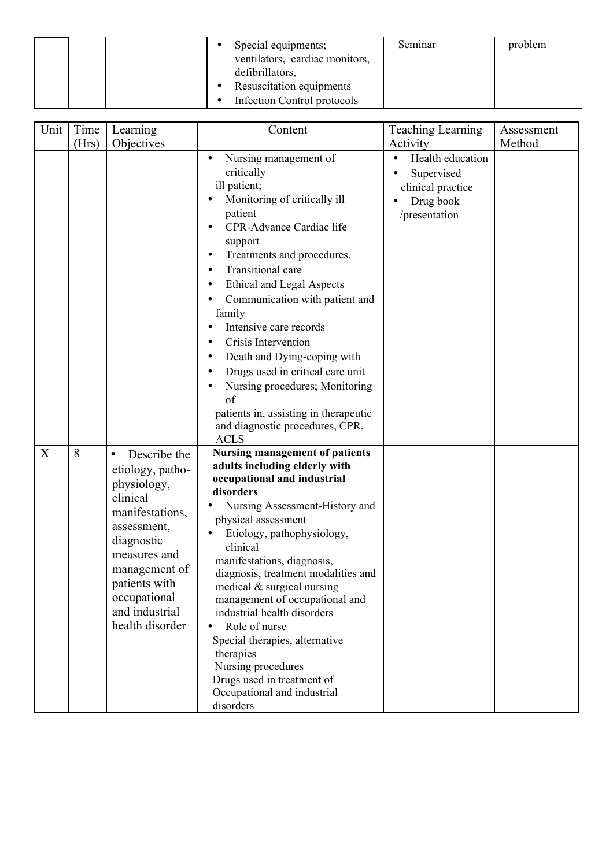|  |  | Special equipments;<br>ventilators, cardiac monitors,<br>defibrillators, | Seminar | problem |
|--|--|--------------------------------------------------------------------------|---------|---------|
|  |  | Resuscitation equipments                                                 |         |         |
|  |  | Infection Control protocols                                              |         |         |

| Unit | Time  | Learning                                                                                                                                                                                                                        | Content                                                                                                                                                                                                                                                                                                                                                                                                                                                                                                                                                     | <b>Teaching Learning</b>                                                                      | Assessment |
|------|-------|---------------------------------------------------------------------------------------------------------------------------------------------------------------------------------------------------------------------------------|-------------------------------------------------------------------------------------------------------------------------------------------------------------------------------------------------------------------------------------------------------------------------------------------------------------------------------------------------------------------------------------------------------------------------------------------------------------------------------------------------------------------------------------------------------------|-----------------------------------------------------------------------------------------------|------------|
|      | (Hrs) | Objectives                                                                                                                                                                                                                      | Nursing management of<br>critically<br>ill patient;<br>Monitoring of critically ill<br>patient<br>CPR-Advance Cardiac life<br>support<br>Treatments and procedures.<br>٠<br><b>Transitional care</b><br><b>Ethical and Legal Aspects</b><br>Communication with patient and<br>family<br>Intensive care records<br>Crisis Intervention<br>$\bullet$<br>Death and Dying-coping with<br>Drugs used in critical care unit<br>Nursing procedures; Monitoring<br>of<br>patients in, assisting in therapeutic<br>and diagnostic procedures, CPR,<br><b>ACLS</b>    | Activity<br>Health education<br>Supervised<br>clinical practice<br>Drug book<br>/presentation | Method     |
| X    | 8     | Describe the<br>$\bullet$<br>etiology, patho-<br>physiology,<br>clinical<br>manifestations,<br>assessment,<br>diagnostic<br>measures and<br>management of<br>patients with<br>occupational<br>and industrial<br>health disorder | <b>Nursing management of patients</b><br>adults including elderly with<br>occupational and industrial<br>disorders<br>Nursing Assessment-History and<br>physical assessment<br>Etiology, pathophysiology,<br>clinical<br>manifestations, diagnosis,<br>diagnosis, treatment modalities and<br>medical $&$ surgical nursing<br>management of occupational and<br>industrial health disorders<br>Role of nurse<br>Special therapies, alternative<br>therapies<br>Nursing procedures<br>Drugs used in treatment of<br>Occupational and industrial<br>disorders |                                                                                               |            |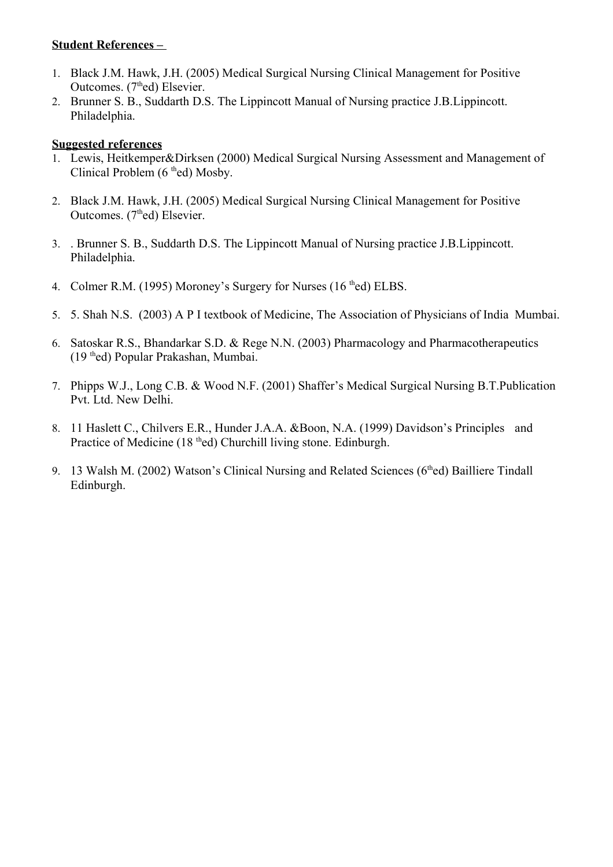#### **Student References –**

- 1. Black J.M. Hawk, J.H. (2005) Medical Surgical Nursing Clinical Management for Positive Outcomes. (7<sup>th</sup>ed) Elsevier.
- 2. Brunner S. B., Suddarth D.S. The Lippincott Manual of Nursing practice J.B.Lippincott. Philadelphia.

#### **Suggested references**

- 1. Lewis, Heitkemper&Dirksen (2000) Medical Surgical Nursing Assessment and Management of Clinical Problem (6<sup>th</sup>ed) Mosby.
- 2. Black J.M. Hawk, J.H. (2005) Medical Surgical Nursing Clinical Management for Positive Outcomes. (7<sup>th</sup>ed) Elsevier.
- 3. . Brunner S. B., Suddarth D.S. The Lippincott Manual of Nursing practice J.B.Lippincott. Philadelphia.
- 4. Colmer R.M. (1995) Moroney's Surgery for Nurses  $(16<sup>th</sup>ed) ELBS$ .
- 5. 5. Shah N.S. (2003) A P I textbook of Medicine, The Association of Physicians of India Mumbai.
- 6. Satoskar R.S., Bhandarkar S.D. & Rege N.N. (2003) Pharmacology and Pharmacotherapeutics (19 th ed) Popular Prakashan, Mumbai.
- 7. Phipps W.J., Long C.B. & Wood N.F. (2001) Shaffer's Medical Surgical Nursing B.T.Publication Pvt. Ltd. New Delhi.
- 8. 11 Haslett C., Chilvers E.R., Hunder J.A.A. &Boon, N.A. (1999) Davidson's Principles and Practice of Medicine (18<sup>th</sup>ed) Churchill living stone. Edinburgh.
- 9. 13 Walsh M. (2002) Watson's Clinical Nursing and Related Sciences (6thed) Bailliere Tindall Edinburgh.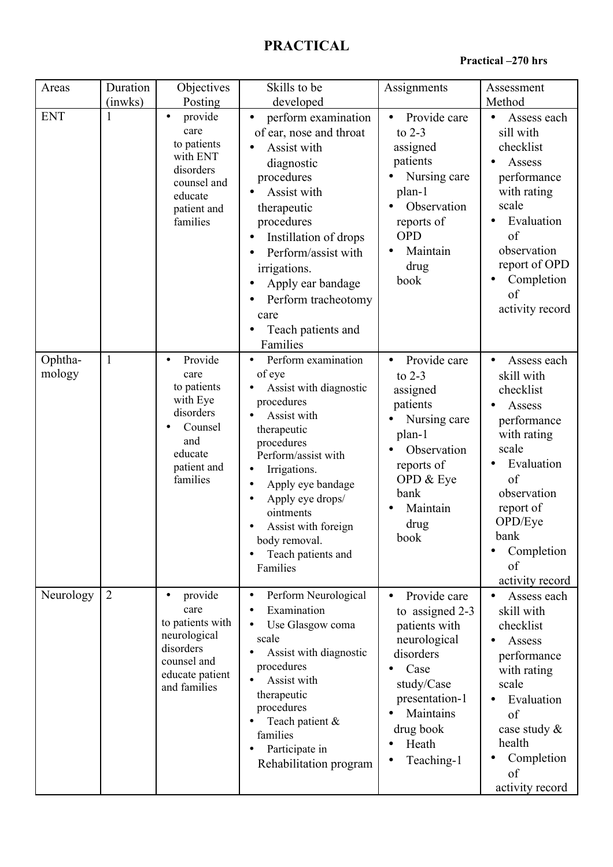## **PRACTICAL**

#### **Practical –270 hrs**

| Areas             | Duration<br>(inwks) | Objectives<br>Posting                                                                                                           | Skills to be<br>developed                                                                                                                                                                                                                                                                   | Assignments                                                                                                                                                                         | Assessment<br>Method                                                                                                                                                                                           |
|-------------------|---------------------|---------------------------------------------------------------------------------------------------------------------------------|---------------------------------------------------------------------------------------------------------------------------------------------------------------------------------------------------------------------------------------------------------------------------------------------|-------------------------------------------------------------------------------------------------------------------------------------------------------------------------------------|----------------------------------------------------------------------------------------------------------------------------------------------------------------------------------------------------------------|
| <b>ENT</b>        | 1                   | provide<br>$\bullet$<br>care<br>to patients<br>with ENT<br>disorders<br>counsel and<br>educate<br>patient and<br>families       | perform examination<br>of ear, nose and throat<br>Assist with<br>diagnostic<br>procedures<br>Assist with<br>therapeutic<br>procedures<br>Instillation of drops<br>Perform/assist with<br>irrigations.<br>Apply ear bandage<br>Perform tracheotomy<br>care<br>Teach patients and<br>Families | Provide care<br>to $2-3$<br>assigned<br>patients<br>Nursing care<br>plan-1<br>Observation<br>reports of<br><b>OPD</b><br>Maintain<br>drug<br>book                                   | Assess each<br>sill with<br>checklist<br>Assess<br>performance<br>with rating<br>scale<br>Evaluation<br>of<br>observation<br>report of OPD<br>Completion<br>of<br>activity record                              |
| Ophtha-<br>mology | $\mathbf{1}$        | Provide<br>$\bullet$<br>care<br>to patients<br>with Eye<br>disorders<br>Counsel<br>and<br>educate<br>patient and<br>families    | Perform examination<br>of eye<br>Assist with diagnostic<br>procedures<br>Assist with<br>therapeutic<br>procedures<br>Perform/assist with<br>Irrigations.<br>Apply eye bandage<br>Apply eye drops/<br>ointments<br>Assist with foreign<br>body removal.<br>Teach patients and<br>Families    | Provide care<br>$\bullet$<br>to $2-3$<br>assigned<br>patients<br>Nursing care<br>plan-1<br>Observation<br>reports of<br>OPD & Eye<br>bank<br>Maintain<br>drug<br>book               | Assess each<br>$\bullet$<br>skill with<br>checklist<br>Assess<br>performance<br>with rating<br>scale<br>Evaluation<br>of<br>observation<br>report of<br>OPD/Eye<br>bank<br>Completion<br>of<br>activity record |
| Neurology         | $\overline{2}$      | provide<br>$\bullet$<br>care<br>to patients with<br>neurological<br>disorders<br>counsel and<br>educate patient<br>and families | Perform Neurological<br>Examination<br>$\bullet$<br>Use Glasgow coma<br>scale<br>Assist with diagnostic<br>procedures<br>Assist with<br>therapeutic<br>procedures<br>Teach patient &<br>families<br>Participate in<br>Rehabilitation program                                                | Provide care<br>to assigned 2-3<br>patients with<br>neurological<br>disorders<br>Case<br>study/Case<br>presentation-1<br>Maintains<br>$\bullet$<br>drug book<br>Heath<br>Teaching-1 | Assess each<br>$\bullet$<br>skill with<br>checklist<br>Assess<br>$\bullet$<br>performance<br>with rating<br>scale<br>Evaluation<br>of<br>case study $\&$<br>health<br>Completion<br>of<br>activity record      |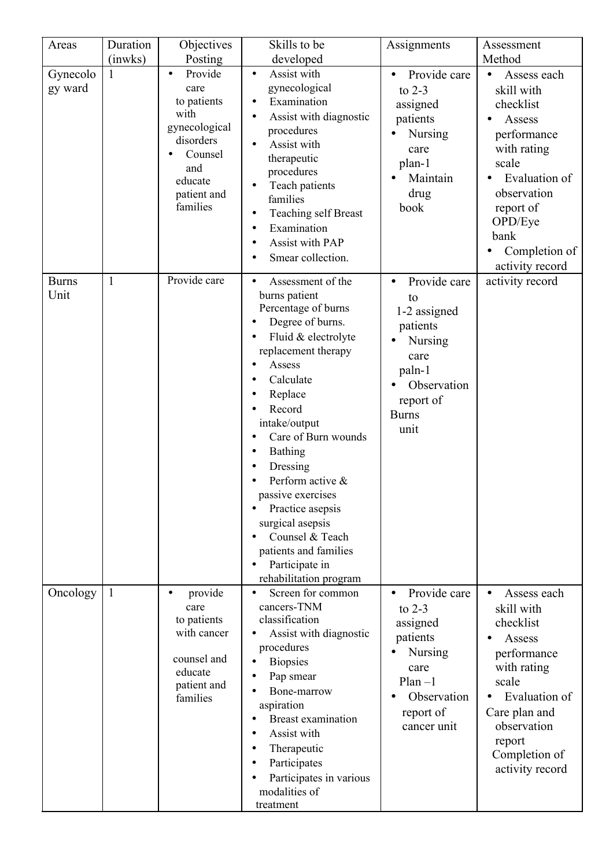| Areas                | Duration     | Objectives                                                                                                                   | Skills to be                                                                                                                                                                                                                                                                                                                                                                                                                                          | Assignments                                                                                                                                         | Assessment                                                                                                                                                                                               |
|----------------------|--------------|------------------------------------------------------------------------------------------------------------------------------|-------------------------------------------------------------------------------------------------------------------------------------------------------------------------------------------------------------------------------------------------------------------------------------------------------------------------------------------------------------------------------------------------------------------------------------------------------|-----------------------------------------------------------------------------------------------------------------------------------------------------|----------------------------------------------------------------------------------------------------------------------------------------------------------------------------------------------------------|
|                      | (inwks)      | Posting                                                                                                                      | developed                                                                                                                                                                                                                                                                                                                                                                                                                                             |                                                                                                                                                     | Method                                                                                                                                                                                                   |
| Gynecolo<br>gy ward  | $\mathbf{1}$ | Provide<br>care<br>to patients<br>with<br>gynecological<br>disorders<br>Counsel<br>and<br>educate<br>patient and<br>families | Assist with<br>$\bullet$<br>gynecological<br>Examination<br>$\bullet$<br>Assist with diagnostic<br>$\bullet$<br>procedures<br>Assist with<br>$\bullet$<br>therapeutic<br>procedures<br>Teach patients<br>families<br>Teaching self Breast<br>٠<br>Examination<br>$\bullet$<br><b>Assist with PAP</b><br>$\bullet$<br>Smear collection.                                                                                                                | Provide care<br>$\bullet$<br>to $2-3$<br>assigned<br>patients<br>Nursing<br>care<br>plan-1<br>Maintain<br>drug<br>book                              | Assess each<br>$\bullet$<br>skill with<br>checklist<br>Assess<br>performance<br>with rating<br>scale<br>Evaluation of<br>observation<br>report of<br>OPD/Eye<br>bank<br>Completion of<br>activity record |
| <b>Burns</b><br>Unit | $\mathbf{1}$ | Provide care                                                                                                                 | Assessment of the<br>burns patient<br>Percentage of burns<br>Degree of burns.<br>Fluid & electrolyte<br>replacement therapy<br>Assess<br>Calculate<br>Replace<br>٠<br>Record<br>intake/output<br>Care of Burn wounds<br><b>Bathing</b><br>Dressing<br>$\bullet$<br>Perform active &<br>passive exercises<br>Practice asepsis<br>$\bullet$<br>surgical asepsis<br>Counsel & Teach<br>patients and families<br>Participate in<br>rehabilitation program | Provide care<br>$\bullet$<br>to<br>1-2 assigned<br>patients<br><b>Nursing</b><br>care<br>paln-1<br>Observation<br>report of<br><b>Burns</b><br>unit | activity record                                                                                                                                                                                          |
| Oncology             | $\mathbf{1}$ | provide<br>care<br>to patients<br>with cancer<br>counsel and<br>educate<br>patient and<br>families                           | Screen for common<br>cancers-TNM<br>classification<br>Assist with diagnostic<br>٠<br>procedures<br><b>Biopsies</b><br>Pap smear<br>Bone-marrow<br>aspiration<br><b>Breast examination</b><br>$\bullet$<br>Assist with<br>٠<br>Therapeutic<br>Participates<br>$\bullet$<br>Participates in various<br>modalities of<br>treatment                                                                                                                       | Provide care<br>to $2-3$<br>assigned<br>patients<br>Nursing<br>care<br>$Plan-1$<br>Observation<br>report of<br>cancer unit                          | Assess each<br>skill with<br>checklist<br>Assess<br>performance<br>with rating<br>scale<br>Evaluation of<br>$\bullet$<br>Care plan and<br>observation<br>report<br>Completion of<br>activity record      |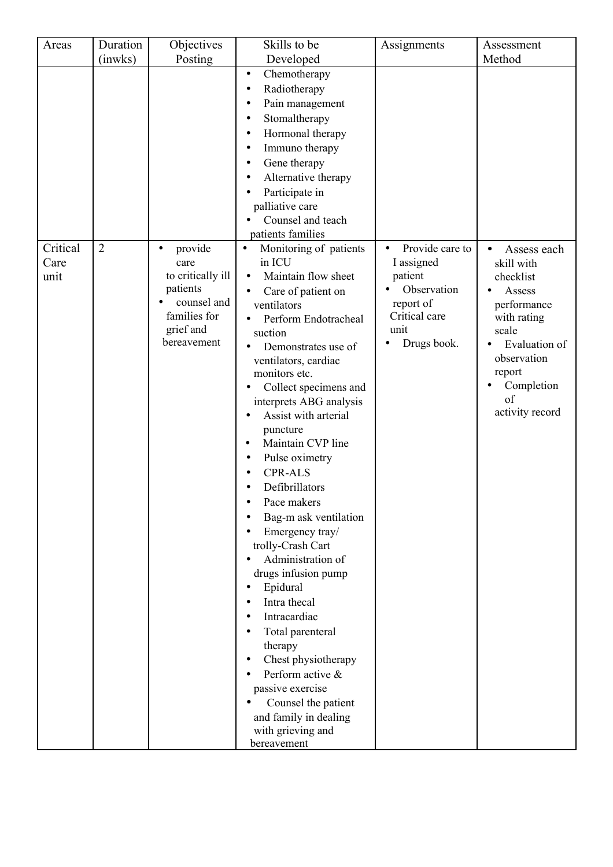| Areas                    | Duration       | Objectives                                                                                                               | Skills to be                                                                                                                                                                                                                                                                                                                                                                                                                                                                                                                                                                                                                                                                                                                                                                                                            | Assignments                                                                                                                    | Assessment                                                                                                                                                                                                |
|--------------------------|----------------|--------------------------------------------------------------------------------------------------------------------------|-------------------------------------------------------------------------------------------------------------------------------------------------------------------------------------------------------------------------------------------------------------------------------------------------------------------------------------------------------------------------------------------------------------------------------------------------------------------------------------------------------------------------------------------------------------------------------------------------------------------------------------------------------------------------------------------------------------------------------------------------------------------------------------------------------------------------|--------------------------------------------------------------------------------------------------------------------------------|-----------------------------------------------------------------------------------------------------------------------------------------------------------------------------------------------------------|
|                          | (inwks)        | Posting                                                                                                                  | Developed                                                                                                                                                                                                                                                                                                                                                                                                                                                                                                                                                                                                                                                                                                                                                                                                               |                                                                                                                                | Method                                                                                                                                                                                                    |
|                          |                |                                                                                                                          | Chemotherapy<br>$\bullet$<br>Radiotherapy<br>$\bullet$<br>Pain management<br>$\bullet$<br>Stomaltherapy<br>٠<br>Hormonal therapy<br>$\bullet$<br>Immuno therapy<br>$\bullet$<br>Gene therapy<br>$\bullet$<br>Alternative therapy<br>Participate in<br>palliative care<br>Counsel and teach<br>patients families                                                                                                                                                                                                                                                                                                                                                                                                                                                                                                         |                                                                                                                                |                                                                                                                                                                                                           |
| Critical<br>Care<br>unit | $\overline{2}$ | provide<br>$\bullet$<br>care<br>to critically ill<br>patients<br>counsel and<br>families for<br>grief and<br>bereavement | Monitoring of patients<br>$\bullet$<br>in ICU<br>Maintain flow sheet<br>$\bullet$<br>Care of patient on<br>ventilators<br>Perform Endotracheal<br>suction<br>Demonstrates use of<br>ventilators, cardiac<br>monitors etc.<br>Collect specimens and<br>interprets ABG analysis<br>Assist with arterial<br>$\bullet$<br>puncture<br>Maintain CVP line<br>$\bullet$<br>Pulse oximetry<br>$\bullet$<br><b>CPR-ALS</b><br>$\bullet$<br>Defibrillators<br>Pace makers<br>Bag-m ask ventilation<br>Emergency tray/<br>trolly-Crash Cart<br>Administration of<br>drugs infusion pump<br>Epidural<br>Intra thecal<br>$\bullet$<br>Intracardiac<br>Total parenteral<br>therapy<br>Chest physiotherapy<br>Perform active &<br>passive exercise<br>Counsel the patient<br>and family in dealing<br>with grieving and<br>bereavement | Provide care to<br>$\bullet$<br>I assigned<br>patient<br>Observation<br>report of<br>Critical care<br>unit<br>Drugs book.<br>٠ | Assess each<br>$\bullet$<br>skill with<br>checklist<br>Assess<br>performance<br>with rating<br>scale<br><b>Evaluation</b> of<br>$\bullet$<br>observation<br>report<br>Completion<br>of<br>activity record |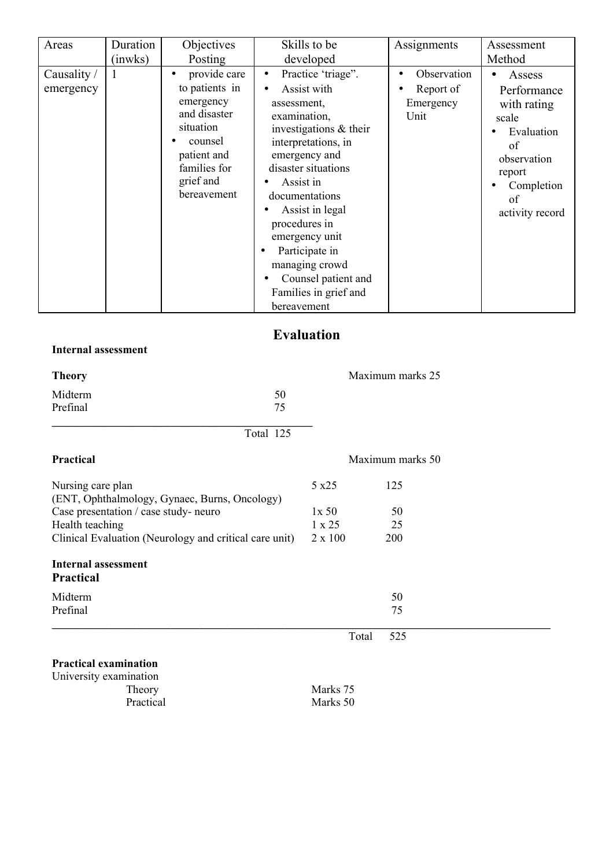| Areas                                          | Duration                     | Objectives                                                                                                                                                  |                                                                        | Skills to be                                                                                                                                                                                                                                                          | Assignments                                                | Assessment                                                                                                                                     |
|------------------------------------------------|------------------------------|-------------------------------------------------------------------------------------------------------------------------------------------------------------|------------------------------------------------------------------------|-----------------------------------------------------------------------------------------------------------------------------------------------------------------------------------------------------------------------------------------------------------------------|------------------------------------------------------------|------------------------------------------------------------------------------------------------------------------------------------------------|
|                                                | (inwks)                      | Posting                                                                                                                                                     |                                                                        | developed                                                                                                                                                                                                                                                             |                                                            | Method                                                                                                                                         |
| Causality /<br>emergency                       | $\mathbf{1}$                 | provide care<br>$\bullet$<br>to patients in<br>emergency<br>and disaster<br>situation<br>counsel<br>patient and<br>families for<br>grief and<br>bereavement | $\bullet$<br>assessment,<br>examination,<br>Assist in<br>procedures in | Practice 'triage".<br>Assist with<br>investigations & their<br>interpretations, in<br>emergency and<br>disaster situations<br>documentations<br>Assist in legal<br>emergency unit<br>Participate in<br>managing crowd<br>Counsel patient and<br>Families in grief and | Observation<br>$\bullet$<br>Report of<br>Emergency<br>Unit | Assess<br>$\bullet$<br>Performance<br>with rating<br>scale<br>Evaluation<br>of<br>observation<br>report<br>Completion<br>of<br>activity record |
|                                                |                              |                                                                                                                                                             | bereavement                                                            |                                                                                                                                                                                                                                                                       |                                                            |                                                                                                                                                |
| <b>Internal assessment</b>                     |                              |                                                                                                                                                             |                                                                        | <b>Evaluation</b>                                                                                                                                                                                                                                                     |                                                            |                                                                                                                                                |
| <b>Theory</b>                                  |                              |                                                                                                                                                             |                                                                        |                                                                                                                                                                                                                                                                       | Maximum marks 25                                           |                                                                                                                                                |
| Midterm                                        |                              |                                                                                                                                                             | 50                                                                     |                                                                                                                                                                                                                                                                       |                                                            |                                                                                                                                                |
| Prefinal                                       |                              |                                                                                                                                                             | 75                                                                     |                                                                                                                                                                                                                                                                       |                                                            |                                                                                                                                                |
|                                                |                              |                                                                                                                                                             | Total 125                                                              |                                                                                                                                                                                                                                                                       |                                                            |                                                                                                                                                |
|                                                |                              |                                                                                                                                                             |                                                                        |                                                                                                                                                                                                                                                                       |                                                            |                                                                                                                                                |
| Practical                                      |                              |                                                                                                                                                             |                                                                        |                                                                                                                                                                                                                                                                       | Maximum marks 50                                           |                                                                                                                                                |
| Nursing care plan                              |                              |                                                                                                                                                             |                                                                        | 5 x 25                                                                                                                                                                                                                                                                | 125                                                        |                                                                                                                                                |
|                                                |                              | (ENT, Ophthalmology, Gynaec, Burns, Oncology)                                                                                                               |                                                                        |                                                                                                                                                                                                                                                                       |                                                            |                                                                                                                                                |
|                                                |                              | Case presentation / case study- neuro                                                                                                                       |                                                                        | 1x 50<br>$1 \times 25$                                                                                                                                                                                                                                                | 50                                                         |                                                                                                                                                |
| Health teaching                                |                              | Clinical Evaluation (Neurology and critical care unit)                                                                                                      |                                                                        | 2 x 100                                                                                                                                                                                                                                                               | 25<br>200                                                  |                                                                                                                                                |
|                                                |                              |                                                                                                                                                             |                                                                        |                                                                                                                                                                                                                                                                       |                                                            |                                                                                                                                                |
| <b>Internal assessment</b><br><b>Practical</b> |                              |                                                                                                                                                             |                                                                        |                                                                                                                                                                                                                                                                       |                                                            |                                                                                                                                                |
| Midterm                                        |                              |                                                                                                                                                             |                                                                        |                                                                                                                                                                                                                                                                       | 50                                                         |                                                                                                                                                |
| Prefinal                                       |                              |                                                                                                                                                             |                                                                        |                                                                                                                                                                                                                                                                       | 75                                                         |                                                                                                                                                |
|                                                |                              |                                                                                                                                                             |                                                                        | Total                                                                                                                                                                                                                                                                 | 525                                                        |                                                                                                                                                |
|                                                | <b>Practical examination</b> |                                                                                                                                                             |                                                                        |                                                                                                                                                                                                                                                                       |                                                            |                                                                                                                                                |
|                                                | University examination       |                                                                                                                                                             |                                                                        |                                                                                                                                                                                                                                                                       |                                                            |                                                                                                                                                |
|                                                | Theory                       |                                                                                                                                                             |                                                                        | Marks 75                                                                                                                                                                                                                                                              |                                                            |                                                                                                                                                |
|                                                | Practical                    |                                                                                                                                                             |                                                                        | Marks 50                                                                                                                                                                                                                                                              |                                                            |                                                                                                                                                |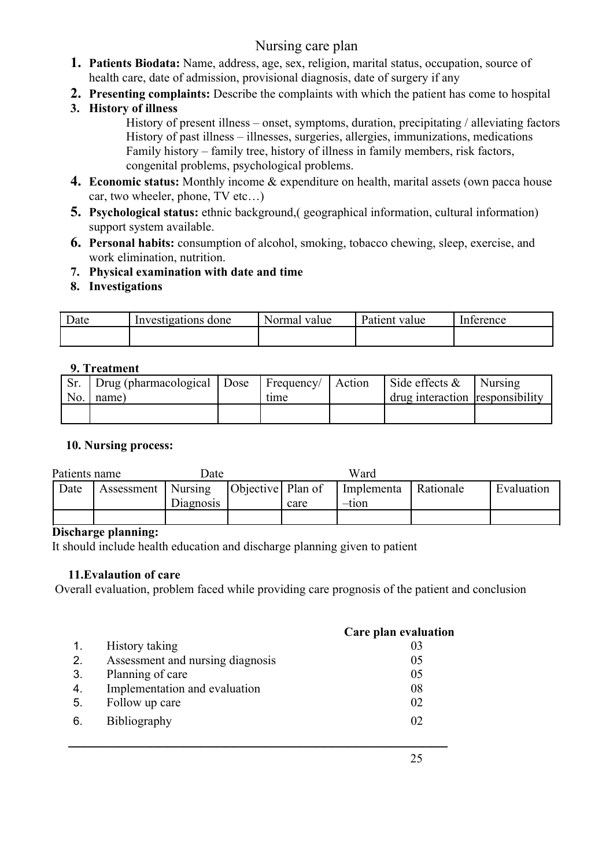## Nursing care plan

- **1. Patients Biodata:** Name, address, age, sex, religion, marital status, occupation, source of health care, date of admission, provisional diagnosis, date of surgery if any
- **2. Presenting complaints:** Describe the complaints with which the patient has come to hospital
- **3. History of illness**

History of present illness – onset, symptoms, duration, precipitating / alleviating factors History of past illness – illnesses, surgeries, allergies, immunizations, medications Family history – family tree, history of illness in family members, risk factors, congenital problems, psychological problems.

- **4. Economic status:** Monthly income & expenditure on health, marital assets (own pacca house car, two wheeler, phone, TV etc…)
- **5. Psychological status:** ethnic background,( geographical information, cultural information) support system available.
- **6. Personal habits:** consumption of alcohol, smoking, tobacco chewing, sleep, exercise, and work elimination, nutrition.
- **7. Physical examination with date and time**
- **8. Investigations**

| Date | Investigations done | Normal<br>value | Patient value | Inference |
|------|---------------------|-----------------|---------------|-----------|
|      |                     |                 |               |           |

## **9. Treatment**

| $\overline{N_{0}}$ . | Sr. Drug (pharmacological Dose<br>name) | $F$ Frequency/<br>tıme | Action | Side effects $\&$<br>drug interaction responsibility | Nursing |
|----------------------|-----------------------------------------|------------------------|--------|------------------------------------------------------|---------|
|                      |                                         |                        |        |                                                      |         |

## **10. Nursing process:**

| Patients name |                      | Date      |                   |      | Ward       |           |            |
|---------------|----------------------|-----------|-------------------|------|------------|-----------|------------|
| Date          | Assessment   Nursing |           | Objective Plan of |      | Implementa | Rationale | Evaluation |
|               |                      | Diagnosis |                   | care | –tion      |           |            |
|               |                      |           |                   |      |            |           |            |

## **Discharge planning:**

It should include health education and discharge planning given to patient

## **11.Evalaution of care**

Overall evaluation, problem faced while providing care prognosis of the patient and conclusion

|    |                                  | Care plan evaluation |
|----|----------------------------------|----------------------|
| 1. | History taking                   | 03                   |
| 2. | Assessment and nursing diagnosis | 05                   |
| 3. | Planning of care                 | 05                   |
| 4. | Implementation and evaluation    | 08                   |
| 5. | Follow up care                   | 02                   |
| 6. | <b>Bibliography</b>              | 02                   |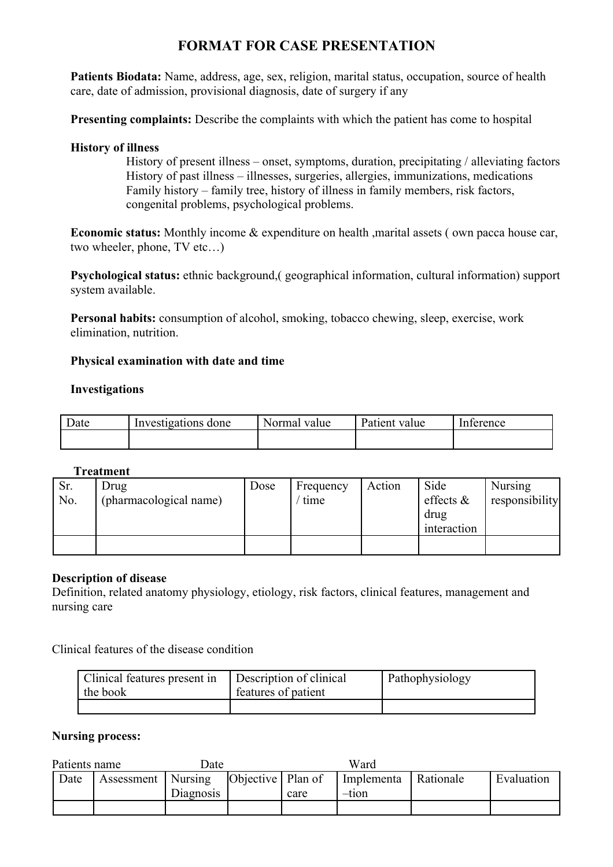## **FORMAT FOR CASE PRESENTATION**

**Patients Biodata:** Name, address, age, sex, religion, marital status, occupation, source of health care, date of admission, provisional diagnosis, date of surgery if any

**Presenting complaints:** Describe the complaints with which the patient has come to hospital

#### **History of illness**

History of present illness – onset, symptoms, duration, precipitating / alleviating factors History of past illness – illnesses, surgeries, allergies, immunizations, medications Family history – family tree, history of illness in family members, risk factors, congenital problems, psychological problems.

**Economic status:** Monthly income & expenditure on health ,marital assets (own pacca house car, two wheeler, phone, TV etc…)

**Psychological status:** ethnic background,( geographical information, cultural information) support system available.

**Personal habits:** consumption of alcohol, smoking, tobacco chewing, sleep, exercise, work elimination, nutrition.

#### **Physical examination with date and time**

#### **Investigations**

| Date | Investigations done | Normal<br>value | Patient<br>value | -<br>Interence |
|------|---------------------|-----------------|------------------|----------------|
|      |                     |                 |                  |                |

#### **Treatment**

| Sr.<br>No. | Drug<br>(pharmacological name) | Dose | Frequency<br>time | Action | Side<br>effects $\&$<br>drug<br>interaction | <b>Nursing</b><br>responsibility |
|------------|--------------------------------|------|-------------------|--------|---------------------------------------------|----------------------------------|
|            |                                |      |                   |        |                                             |                                  |

#### **Description of disease**

Definition, related anatomy physiology, etiology, risk factors, clinical features, management and nursing care

Clinical features of the disease condition

| Clinical features present in   Description of clinical<br>the book | features of patient | Pathophysiology |
|--------------------------------------------------------------------|---------------------|-----------------|
|                                                                    |                     |                 |

#### **Nursing process:**

| Patients name |            | Date      |                                   |      | Ward       |           |            |
|---------------|------------|-----------|-----------------------------------|------|------------|-----------|------------|
| Date          | Assessment | Nursing   | $\vert$ Objective $\vert$ Plan of |      | Implementa | Rationale | Evaluation |
|               |            | Diagnosis |                                   | care | -tion      |           |            |
|               |            |           |                                   |      |            |           |            |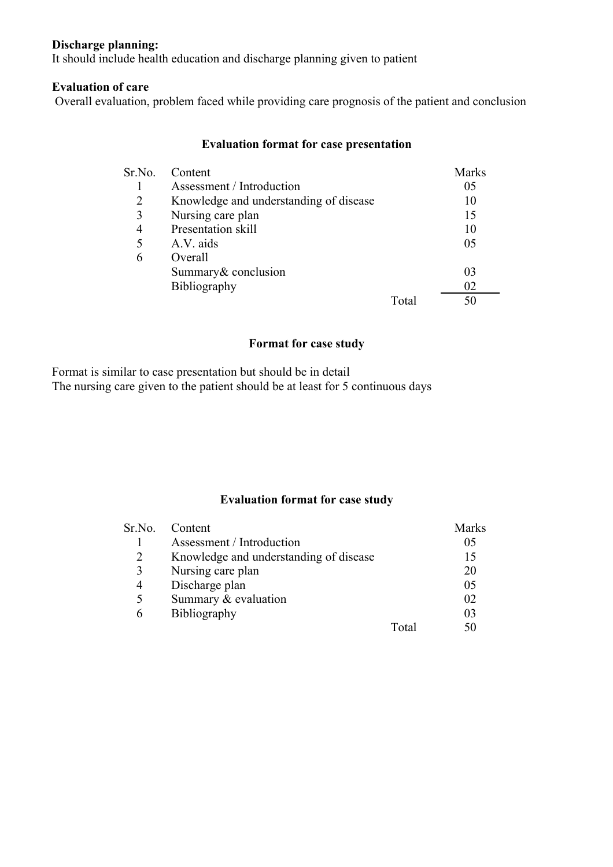#### **Discharge planning:**

It should include health education and discharge planning given to patient

#### **Evaluation of care**

Overall evaluation, problem faced while providing care prognosis of the patient and conclusion

## **Evaluation format for case presentation**

| Sr.No. | Content                                |       | <b>Marks</b> |
|--------|----------------------------------------|-------|--------------|
|        | Assessment / Introduction              |       | 05           |
| 2      | Knowledge and understanding of disease |       | 10           |
| 3      | Nursing care plan                      |       | 15           |
| 4      | Presentation skill                     |       | 10           |
| 5      | A.V. aids                              |       | 05           |
| 6      | Overall                                |       |              |
|        | Summary & conclusion                   |       | 03           |
|        | <b>Bibliography</b>                    |       | 02           |
|        |                                        | Total |              |

#### **Format for case study**

Format is similar to case presentation but should be in detail The nursing care given to the patient should be at least for 5 continuous days

#### **Evaluation format for case study**

| Sr.No. | Content                                |               | Marks |
|--------|----------------------------------------|---------------|-------|
|        | Assessment / Introduction              |               | 05    |
| 2      | Knowledge and understanding of disease |               | 15    |
| 3      | Nursing care plan                      |               | 20    |
| 4      | Discharge plan                         |               | 05    |
| 5      | Summary $&$ evaluation                 |               | 02    |
| 6      | Bibliography                           |               | 03    |
|        |                                        | $\Gamma$ otal |       |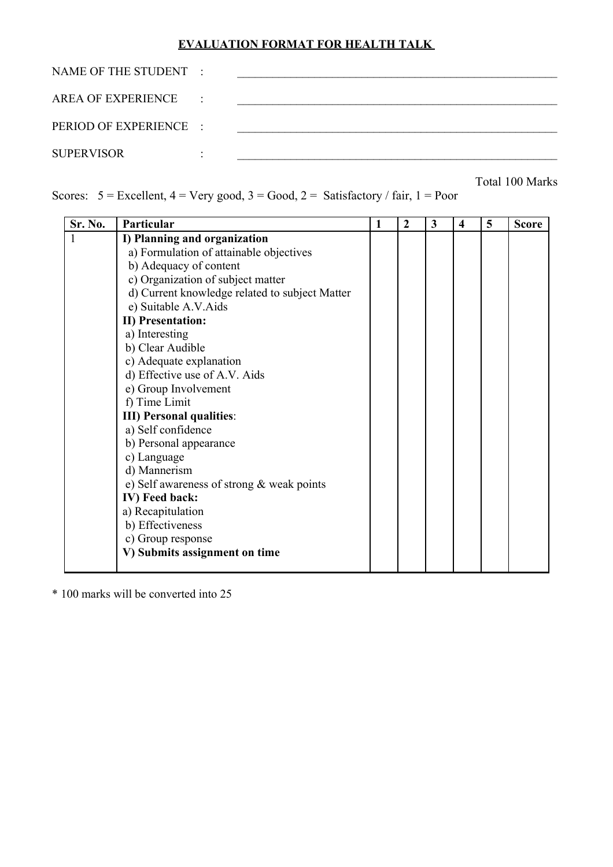## **EVALUATION FORMAT FOR HEALTH TALK**

| NAME OF THE STUDENT :  |   |  |
|------------------------|---|--|
| AREA OF EXPERIENCE     | ٠ |  |
| PERIOD OF EXPERIENCE : |   |  |
| <b>SUPERVISOR</b>      |   |  |

Total 100 Marks

Scores:  $5 =$  Excellent,  $4 =$  Very good,  $3 =$  Good,  $2 =$  Satisfactory / fair,  $1 =$  Poor

| Sr. No. | Particular                                     | 1 | $\overline{2}$ | $\mathbf{3}$ | $\overline{\mathbf{4}}$ | 5 | <b>Score</b> |
|---------|------------------------------------------------|---|----------------|--------------|-------------------------|---|--------------|
|         | I) Planning and organization                   |   |                |              |                         |   |              |
|         | a) Formulation of attainable objectives        |   |                |              |                         |   |              |
|         | b) Adequacy of content                         |   |                |              |                         |   |              |
|         | c) Organization of subject matter              |   |                |              |                         |   |              |
|         | d) Current knowledge related to subject Matter |   |                |              |                         |   |              |
|         | e) Suitable A.V.Aids                           |   |                |              |                         |   |              |
|         | <b>II)</b> Presentation:                       |   |                |              |                         |   |              |
|         | a) Interesting                                 |   |                |              |                         |   |              |
|         | b) Clear Audible                               |   |                |              |                         |   |              |
|         | c) Adequate explanation                        |   |                |              |                         |   |              |
|         | d) Effective use of A.V. Aids                  |   |                |              |                         |   |              |
|         | e) Group Involvement                           |   |                |              |                         |   |              |
|         | f) Time Limit                                  |   |                |              |                         |   |              |
|         | <b>III)</b> Personal qualities:                |   |                |              |                         |   |              |
|         | a) Self confidence                             |   |                |              |                         |   |              |
|         | b) Personal appearance                         |   |                |              |                         |   |              |
|         | c) Language                                    |   |                |              |                         |   |              |
|         | d) Mannerism                                   |   |                |              |                         |   |              |
|         | e) Self awareness of strong & weak points      |   |                |              |                         |   |              |
|         | IV) Feed back:                                 |   |                |              |                         |   |              |
|         | a) Recapitulation                              |   |                |              |                         |   |              |
|         | b) Effectiveness                               |   |                |              |                         |   |              |
|         | c) Group response                              |   |                |              |                         |   |              |
|         | V) Submits assignment on time                  |   |                |              |                         |   |              |
|         |                                                |   |                |              |                         |   |              |

\* 100 marks will be converted into 25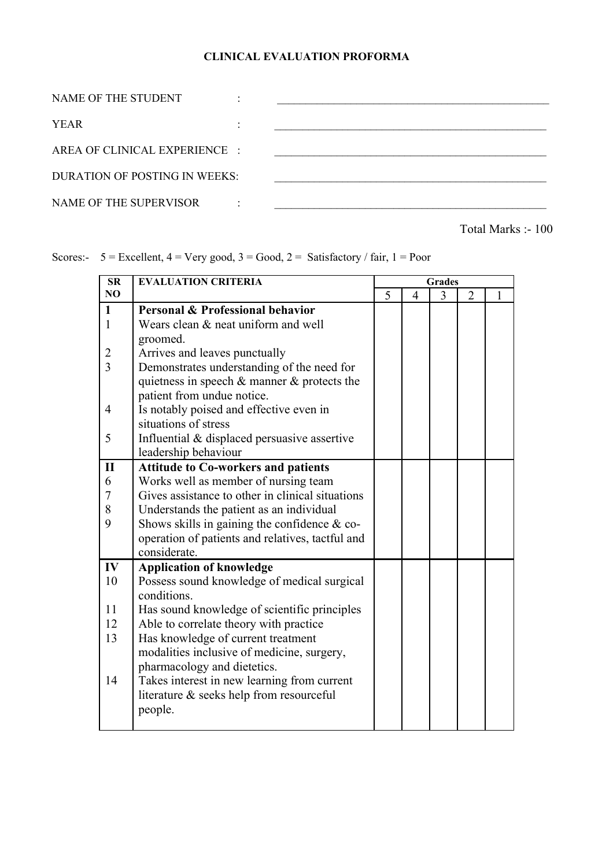#### **CLINICAL EVALUATION PROFORMA**

| NAME OF THE STUDENT           |  |
|-------------------------------|--|
| <b>YEAR</b>                   |  |
| AREA OF CLINICAL EXPERIENCE : |  |
| DURATION OF POSTING IN WEEKS: |  |
| NAME OF THE SUPERVISOR        |  |

Total Marks :- 100

Scores:-  $5 =$  Excellent,  $4 =$  Very good,  $3 =$  Good,  $2 =$  Satisfactory / fair,  $1 =$  Poor

| SR             | <b>EVALUATION CRITERIA</b>                        |   | <b>Grades</b> |   |                |              |  |
|----------------|---------------------------------------------------|---|---------------|---|----------------|--------------|--|
| NO             |                                                   | 5 | 4             | 3 | $\overline{2}$ | $\mathbf{1}$ |  |
| $\mathbf{1}$   | Personal & Professional behavior                  |   |               |   |                |              |  |
| $\mathbf{1}$   | Wears clean & neat uniform and well               |   |               |   |                |              |  |
|                | groomed.                                          |   |               |   |                |              |  |
| $\overline{c}$ | Arrives and leaves punctually                     |   |               |   |                |              |  |
| $\overline{3}$ | Demonstrates understanding of the need for        |   |               |   |                |              |  |
|                | quietness in speech $\&$ manner $\&$ protects the |   |               |   |                |              |  |
|                | patient from undue notice.                        |   |               |   |                |              |  |
| 4              | Is notably poised and effective even in           |   |               |   |                |              |  |
|                | situations of stress                              |   |               |   |                |              |  |
| 5              | Influential & displaced persuasive assertive      |   |               |   |                |              |  |
|                | leadership behaviour                              |   |               |   |                |              |  |
| $\mathbf{I}$   | <b>Attitude to Co-workers and patients</b>        |   |               |   |                |              |  |
| 6              | Works well as member of nursing team              |   |               |   |                |              |  |
| $\tau$         | Gives assistance to other in clinical situations  |   |               |   |                |              |  |
| 8              | Understands the patient as an individual          |   |               |   |                |              |  |
| 9              | Shows skills in gaining the confidence $\&$ co-   |   |               |   |                |              |  |
|                | operation of patients and relatives, tactful and  |   |               |   |                |              |  |
|                | considerate.                                      |   |               |   |                |              |  |
| IV             | <b>Application of knowledge</b>                   |   |               |   |                |              |  |
| 10             | Possess sound knowledge of medical surgical       |   |               |   |                |              |  |
|                | conditions.                                       |   |               |   |                |              |  |
| 11             | Has sound knowledge of scientific principles      |   |               |   |                |              |  |
| 12             | Able to correlate theory with practice            |   |               |   |                |              |  |
| 13             | Has knowledge of current treatment                |   |               |   |                |              |  |
|                | modalities inclusive of medicine, surgery,        |   |               |   |                |              |  |
|                | pharmacology and dietetics.                       |   |               |   |                |              |  |
| 14             | Takes interest in new learning from current       |   |               |   |                |              |  |
|                | literature & seeks help from resourceful          |   |               |   |                |              |  |
|                | people.                                           |   |               |   |                |              |  |
|                |                                                   |   |               |   |                |              |  |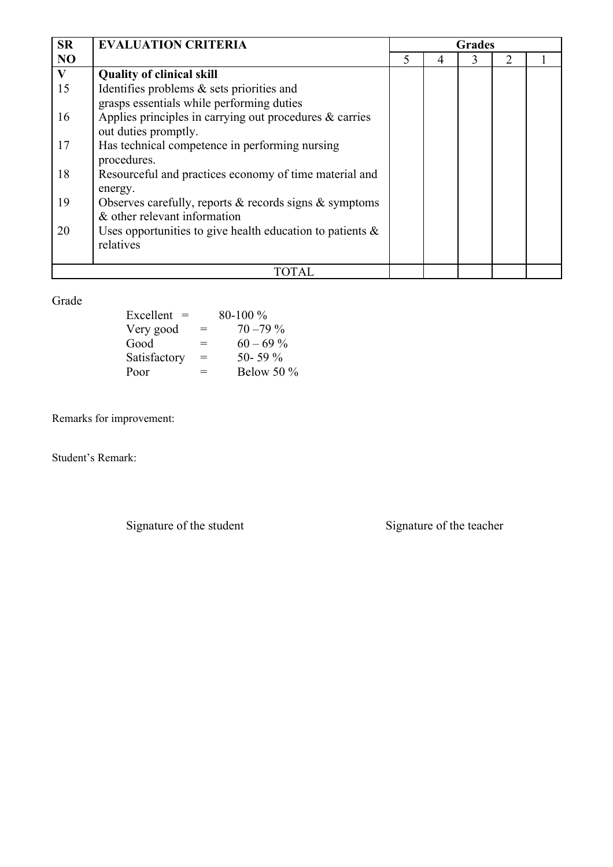| <b>SR</b>    | <b>EVALUATION CRITERIA</b>                                   | <b>Grades</b> |   |   |  |  |
|--------------|--------------------------------------------------------------|---------------|---|---|--|--|
| NO           |                                                              | 5             | 4 | 3 |  |  |
| $\mathbf{V}$ | <b>Quality of clinical skill</b>                             |               |   |   |  |  |
| 15           | Identifies problems $\&$ sets priorities and                 |               |   |   |  |  |
|              | grasps essentials while performing duties                    |               |   |   |  |  |
| 16           | Applies principles in carrying out procedures $\&$ carries   |               |   |   |  |  |
|              | out duties promptly.                                         |               |   |   |  |  |
| 17           | Has technical competence in performing nursing               |               |   |   |  |  |
|              | procedures.                                                  |               |   |   |  |  |
| 18           | Resourceful and practices economy of time material and       |               |   |   |  |  |
|              | energy.                                                      |               |   |   |  |  |
| 19           | Observes carefully, reports $\&$ records signs $\&$ symptoms |               |   |   |  |  |
|              | & other relevant information                                 |               |   |   |  |  |
| 20           | Uses opportunities to give health education to patients $\&$ |               |   |   |  |  |
|              | relatives                                                    |               |   |   |  |  |
|              |                                                              |               |   |   |  |  |
|              | TOTAL                                                        |               |   |   |  |  |

### Grade

| $Excellent =$ |     | $80 - 100 \%$     |
|---------------|-----|-------------------|
| Very good     | $=$ | $70 - 79 \%$      |
| Good          | $=$ | $60 - 69\%$       |
| Satisfactory  | $=$ | 50-59 $\%$        |
| Poor          | ═   | <b>Below 50 %</b> |

Remarks for improvement:

Student's Remark:

Signature of the student Signature of the teacher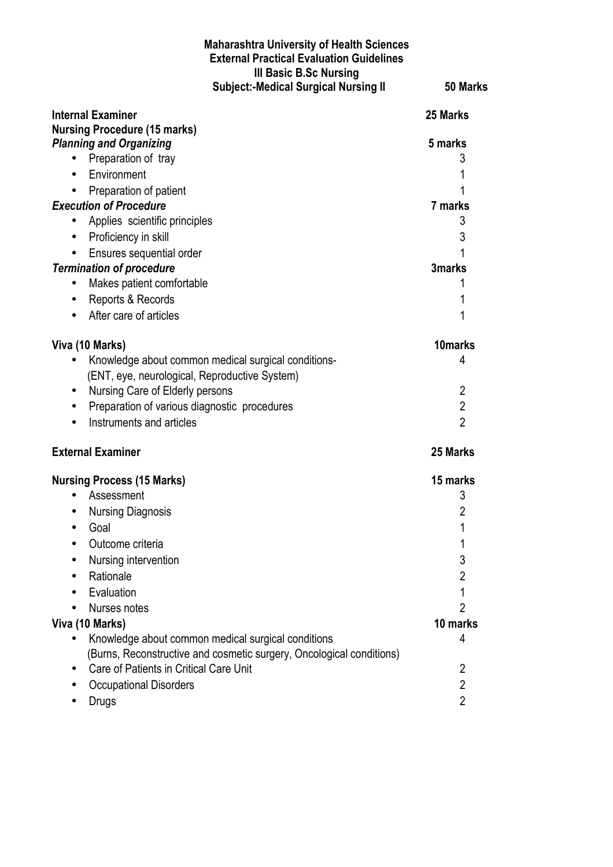#### **Maharashtra University of Health Sciences External Practical Evaluation Guidelines III Basic B.Sc Nursing Subject:-Medical Surgical Nursing II 50 Marks**

**Internal Examiner 25 Marks Nursing Procedure (15 marks)** *Planning and Organizing* **5 marks** • Preparation of tray 3 • Environment 1 • Preparation of patient 1 *Execution of Procedure* **7 marks** • Applies scientific principles 3 • Proficiency in skill 3 • Ensures sequential order 1 *Termination of procedure* **3marks** • Makes patient comfortable 1 • Reports & Records 1 • After care of articles 1 **Viva (10 Marks) 10marks** • Knowledge about common medical surgical conditions- 4 (ENT, eye, neurological, Reproductive System) • Nursing Care of Elderly persons 2 • Preparation of various diagnostic procedures 2 • Instruments and articles 2 **External Examiner 25 Marks Nursing Process (15 Marks) 15 marks** • Assessment 3 • Nursing Diagnosis 2  $\bullet$  Goal  $\bullet$  1 • Outcome criteria 1 **Provided Structure 10 and 10 and 10 and 10 and 10 and 10 and 10 and 10 and 10 and 10 and 10 and 10 and 10 and 10 and 10 and 10 and 10 and 10 and 10 and 10 and 10 and 10 and 10 and 10 and 10 and 10 and 10 and 10 and 10 and** • Rationale 2 • Evaluation 1 • Nurses notes 2 **Viva (10 Marks) 10 marks** • Knowledge about common medical surgical conditions 4 (Burns, Reconstructive and cosmetic surgery, Oncological conditions) • Care of Patients in Critical Care Unit 2 • Occupational Disorders 2 • Drugs 2